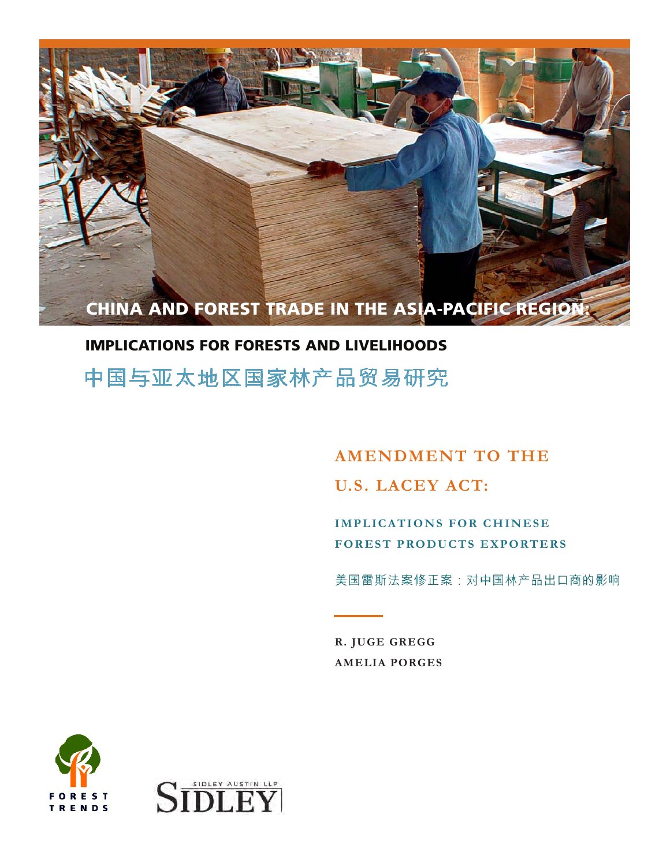

# IMPLICATIONS FOR FORESTS AND LIVELIHOODS

中国与亚太地区国家林产品贸易研究

**AMENDMENT TO THE U.S. LACEY ACT:**

**IMPLICATIONS FOR CHINESE FOREST PRODUCTS EXPORTERS** 

美国雷斯法案修正案:对中国林产品出口商的影响

**R. JUGE GREGG AMELIA PORGES**



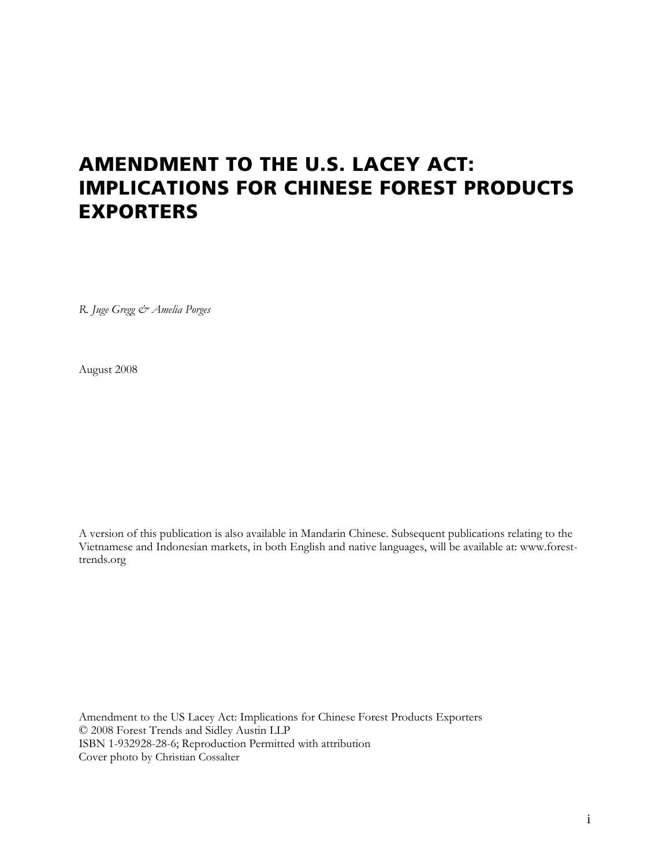# **AMENDMENT TO THE U.S. LACEY ACT: IMPLICATIONS FOR CHINESE FOREST PRODUCTS EXPORTERS**

*R. Juge Gregg & Amelia Porges*

August 2008

A version of this publication is also available in Mandarin Chinese. Subsequent publications relating to the Vietnamese and Indonesian markets, in both English and native languages, will be available at: www.foresttrends.org

Amendment to the US Lacey Act: Implications for Chinese Forest Products Exporters © 2008 Forest Trends and Sidley Austin LLP ISBN 1-932928-28-6; Reproduction Permitted with attribution Cover photo by Christian Cossalter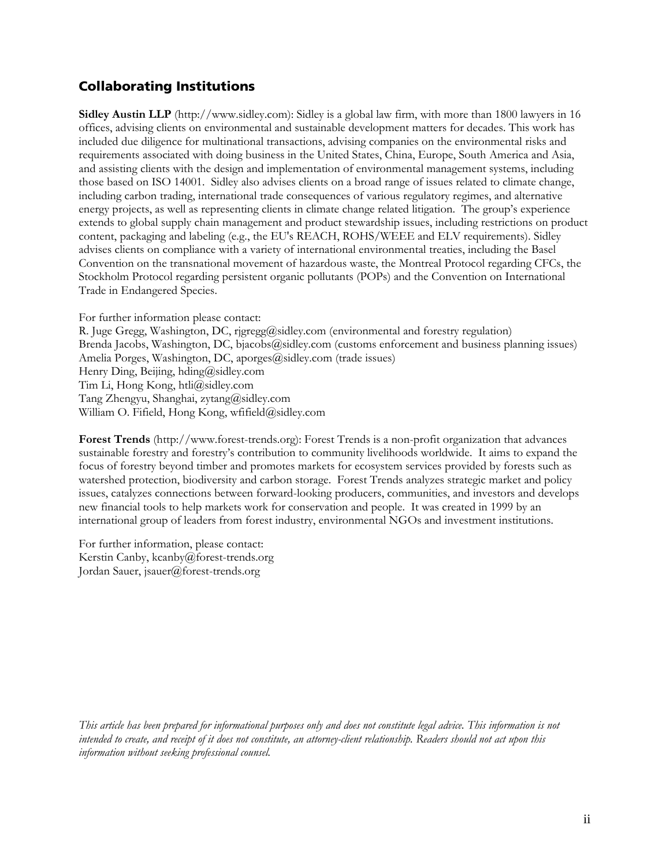## **Collaborating Institutions**

**Sidley Austin LLP** (http://www.sidley.com): Sidley is a global law firm, with more than 1800 lawyers in 16 offices, advising clients on environmental and sustainable development matters for decades. This work has included due diligence for multinational transactions, advising companies on the environmental risks and requirements associated with doing business in the United States, China, Europe, South America and Asia, and assisting clients with the design and implementation of environmental management systems, including those based on ISO 14001. Sidley also advises clients on a broad range of issues related to climate change, including carbon trading, international trade consequences of various regulatory regimes, and alternative energy projects, as well as representing clients in climate change related litigation. The group's experience extends to global supply chain management and product stewardship issues, including restrictions on product content, packaging and labeling (e.g., the EU's REACH, ROHS/WEEE and ELV requirements). Sidley advises clients on compliance with a variety of international environmental treaties, including the Basel Convention on the transnational movement of hazardous waste, the Montreal Protocol regarding CFCs, the Stockholm Protocol regarding persistent organic pollutants (POPs) and the Convention on International Trade in Endangered Species.

For further information please contact:

R. Juge Gregg, Washington, DC, rjgregg@sidley.com (environmental and forestry regulation) Brenda Jacobs, Washington, DC, bjacobs@sidley.com (customs enforcement and business planning issues) Amelia Porges, Washington, DC, aporges@sidley.com (trade issues) Henry Ding, Beijing, hding@sidley.com Tim Li, Hong Kong, htli@sidley.com Tang Zhengyu, Shanghai, zytang@sidley.com William O. Fifield, Hong Kong, wfifield@sidley.com

**Forest Trends** (http://www.forest-trends.org): Forest Trends is a non-profit organization that advances sustainable forestry and forestry's contribution to community livelihoods worldwide. It aims to expand the focus of forestry beyond timber and promotes markets for ecosystem services provided by forests such as watershed protection, biodiversity and carbon storage. Forest Trends analyzes strategic market and policy issues, catalyzes connections between forward-looking producers, communities, and investors and develops new financial tools to help markets work for conservation and people. It was created in 1999 by an international group of leaders from forest industry, environmental NGOs and investment institutions.

For further information, please contact: Kerstin Canby, kcanby@forest-trends.org Jordan Sauer, jsauer@forest-trends.org

*This article has been prepared for informational purposes only and does not constitute legal advice. This information is not intended to create, and receipt of it does not constitute, an attorney-client relationship. Readers should not act upon this information without seeking professional counsel.*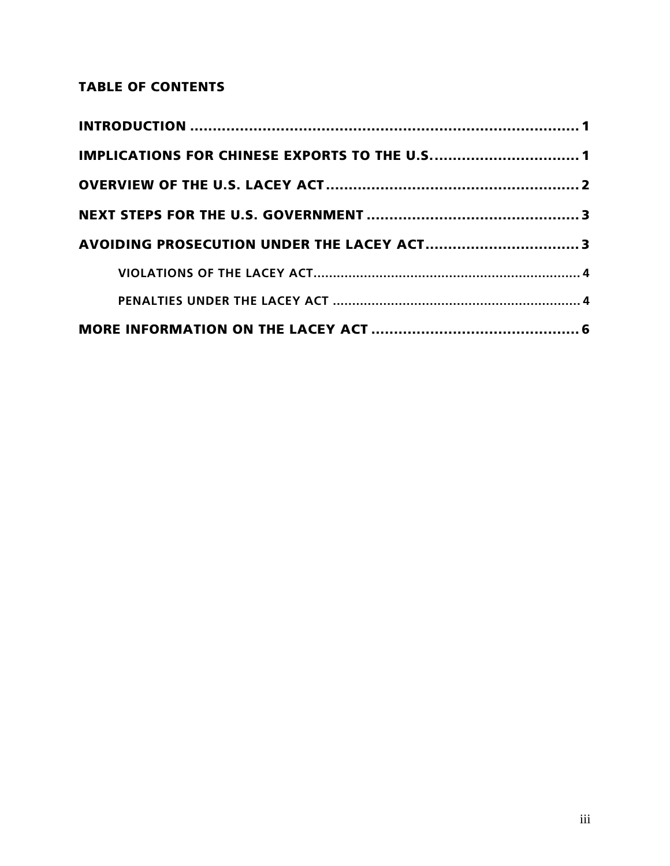# **TABLE OF CONTENTS**

| IMPLICATIONS FOR CHINESE EXPORTS TO THE U.S 1 |  |
|-----------------------------------------------|--|
|                                               |  |
|                                               |  |
|                                               |  |
|                                               |  |
|                                               |  |
|                                               |  |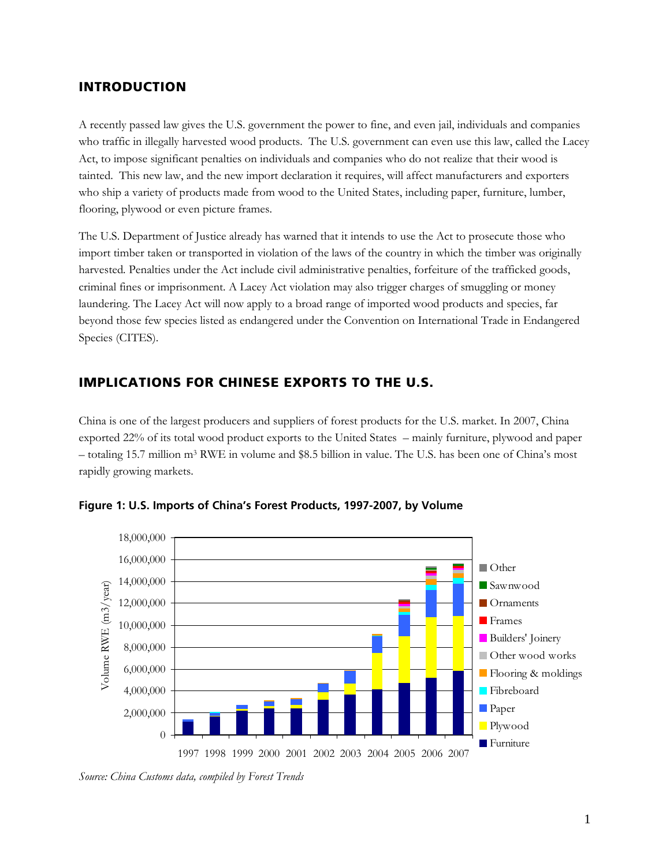### **INTRODUCTION**

A recently passed law gives the U.S. government the power to fine, and even jail, individuals and companies who traffic in illegally harvested wood products. The U.S. government can even use this law, called the Lacey Act, to impose significant penalties on individuals and companies who do not realize that their wood is tainted. This new law, and the new import declaration it requires, will affect manufacturers and exporters who ship a variety of products made from wood to the United States, including paper, furniture, lumber, flooring, plywood or even picture frames.

The U.S. Department of Justice already has warned that it intends to use the Act to prosecute those who import timber taken or transported in violation of the laws of the country in which the timber was originally harvested*.* Penalties under the Act include civil administrative penalties, forfeiture of the trafficked goods, criminal fines or imprisonment. A Lacey Act violation may also trigger charges of smuggling or money laundering. The Lacey Act will now apply to a broad range of imported wood products and species, far beyond those few species listed as endangered under the Convention on International Trade in Endangered Species (CITES).

### **IMPLICATIONS FOR CHINESE EXPORTS TO THE U.S.**

China is one of the largest producers and suppliers of forest products for the U.S. market. In 2007, China exported 22% of its total wood product exports to the United States – mainly furniture, plywood and paper – totaling 15.7 million m3 RWE in volume and \$8.5 billion in value. The U.S. has been one of China's most rapidly growing markets.



**Figure 1: U.S. Imports of China's Forest Products, 1997-2007, by Volume** 

*Source: China Customs data, compiled by Forest Trends*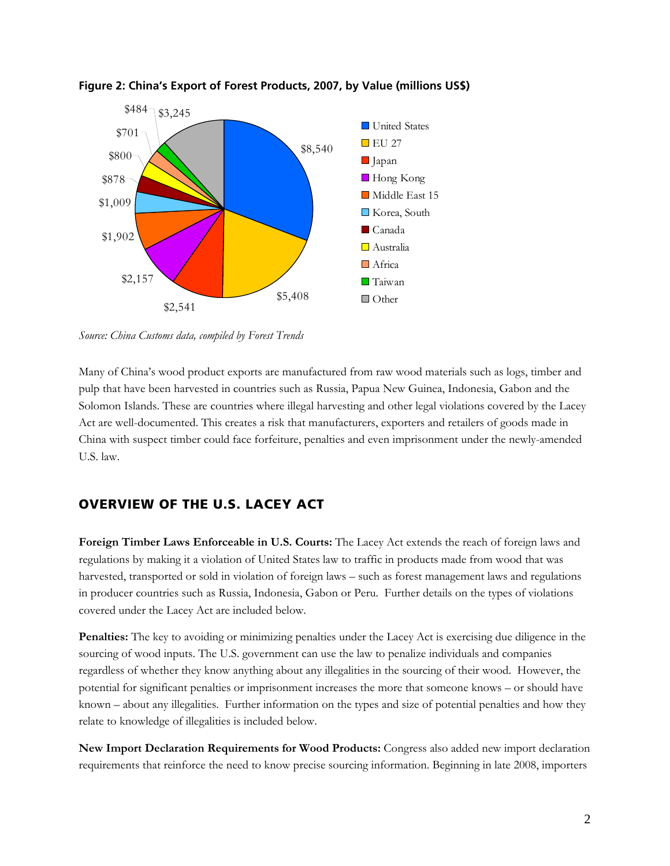



*Source: China Customs data, compiled by Forest Trends* 

Many of China's wood product exports are manufactured from raw wood materials such as logs, timber and pulp that have been harvested in countries such as Russia, Papua New Guinea, Indonesia, Gabon and the Solomon Islands. These are countries where illegal harvesting and other legal violations covered by the Lacey Act are well-documented. This creates a risk that manufacturers, exporters and retailers of goods made in China with suspect timber could face forfeiture, penalties and even imprisonment under the newly-amended U.S. law.

#### **OVERVIEW OF THE U.S. LACEY ACT**

**Foreign Timber Laws Enforceable in U.S. Courts:** The Lacey Act extends the reach of foreign laws and regulations by making it a violation of United States law to traffic in products made from wood that was harvested, transported or sold in violation of foreign laws – such as forest management laws and regulations in producer countries such as Russia, Indonesia, Gabon or Peru. Further details on the types of violations covered under the Lacey Act are included below.

**Penalties:** The key to avoiding or minimizing penalties under the Lacey Act is exercising due diligence in the sourcing of wood inputs. The U.S. government can use the law to penalize individuals and companies regardless of whether they know anything about any illegalities in the sourcing of their wood. However, the potential for significant penalties or imprisonment increases the more that someone knows – or should have known – about any illegalities. Further information on the types and size of potential penalties and how they relate to knowledge of illegalities is included below.

**New Import Declaration Requirements for Wood Products:** Congress also added new import declaration requirements that reinforce the need to know precise sourcing information. Beginning in late 2008, importers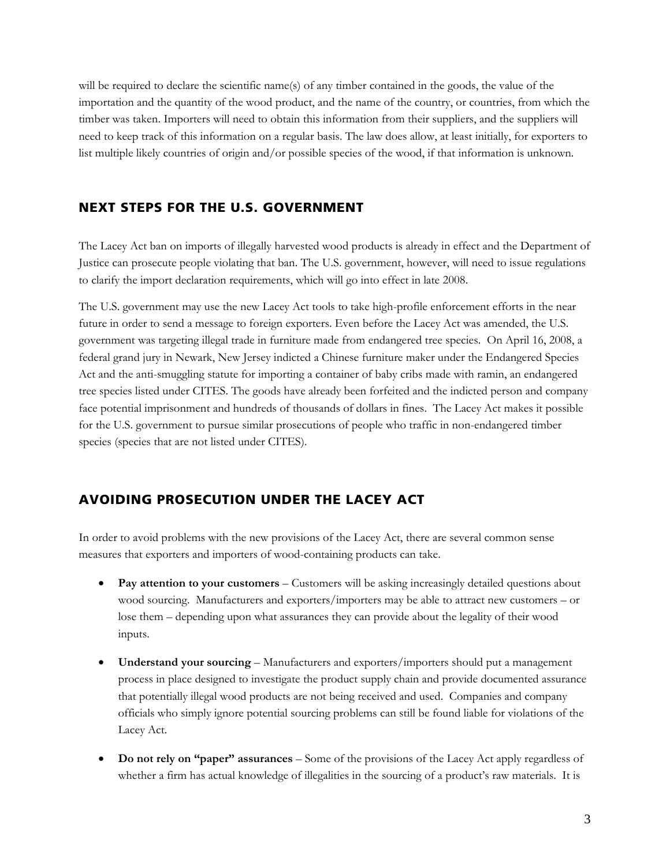will be required to declare the scientific name(s) of any timber contained in the goods, the value of the importation and the quantity of the wood product, and the name of the country, or countries, from which the timber was taken. Importers will need to obtain this information from their suppliers, and the suppliers will need to keep track of this information on a regular basis. The law does allow, at least initially, for exporters to list multiple likely countries of origin and/or possible species of the wood, if that information is unknown.

#### **NEXT STEPS FOR THE U.S. GOVERNMENT**

The Lacey Act ban on imports of illegally harvested wood products is already in effect and the Department of Justice can prosecute people violating that ban. The U.S. government, however, will need to issue regulations to clarify the import declaration requirements, which will go into effect in late 2008.

The U.S. government may use the new Lacey Act tools to take high-profile enforcement efforts in the near future in order to send a message to foreign exporters. Even before the Lacey Act was amended, the U.S. government was targeting illegal trade in furniture made from endangered tree species. On April 16, 2008, a federal grand jury in Newark, New Jersey indicted a Chinese furniture maker under the Endangered Species Act and the anti-smuggling statute for importing a container of baby cribs made with ramin, an endangered tree species listed under CITES. The goods have already been forfeited and the indicted person and company face potential imprisonment and hundreds of thousands of dollars in fines. The Lacey Act makes it possible for the U.S. government to pursue similar prosecutions of people who traffic in non-endangered timber species (species that are not listed under CITES).

## **AVOIDING PROSECUTION UNDER THE LACEY ACT**

In order to avoid problems with the new provisions of the Lacey Act, there are several common sense measures that exporters and importers of wood-containing products can take.

- **Pay attention to your customers** Customers will be asking increasingly detailed questions about wood sourcing. Manufacturers and exporters/importers may be able to attract new customers – or lose them – depending upon what assurances they can provide about the legality of their wood inputs.
- **Understand your sourcing** Manufacturers and exporters/importers should put a management process in place designed to investigate the product supply chain and provide documented assurance that potentially illegal wood products are not being received and used. Companies and company officials who simply ignore potential sourcing problems can still be found liable for violations of the Lacey Act.
- **Do not rely on "paper" assurances** Some of the provisions of the Lacey Act apply regardless of whether a firm has actual knowledge of illegalities in the sourcing of a product's raw materials. It is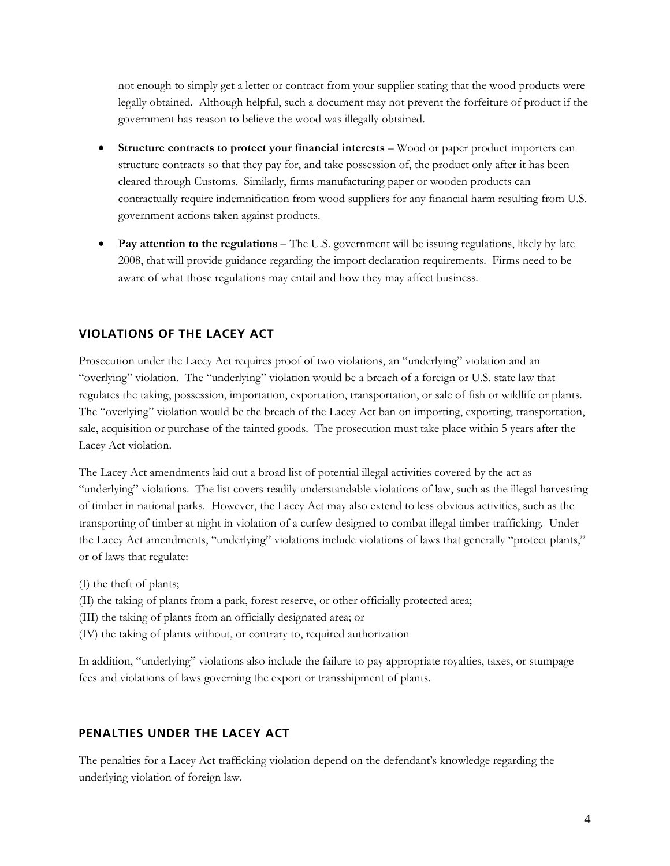not enough to simply get a letter or contract from your supplier stating that the wood products were legally obtained. Although helpful, such a document may not prevent the forfeiture of product if the government has reason to believe the wood was illegally obtained.

- **Structure contracts to protect your financial interests**  Wood or paper product importers can structure contracts so that they pay for, and take possession of, the product only after it has been cleared through Customs. Similarly, firms manufacturing paper or wooden products can contractually require indemnification from wood suppliers for any financial harm resulting from U.S. government actions taken against products.
- **Pay attention to the regulations** The U.S. government will be issuing regulations, likely by late 2008, that will provide guidance regarding the import declaration requirements. Firms need to be aware of what those regulations may entail and how they may affect business.

### **VIOLATIONS OF THE LACEY ACT**

Prosecution under the Lacey Act requires proof of two violations, an "underlying" violation and an "overlying" violation. The "underlying" violation would be a breach of a foreign or U.S. state law that regulates the taking, possession, importation, exportation, transportation, or sale of fish or wildlife or plants. The "overlying" violation would be the breach of the Lacey Act ban on importing, exporting, transportation, sale, acquisition or purchase of the tainted goods. The prosecution must take place within 5 years after the Lacey Act violation.

The Lacey Act amendments laid out a broad list of potential illegal activities covered by the act as "underlying" violations. The list covers readily understandable violations of law, such as the illegal harvesting of timber in national parks. However, the Lacey Act may also extend to less obvious activities, such as the transporting of timber at night in violation of a curfew designed to combat illegal timber trafficking. Under the Lacey Act amendments, "underlying" violations include violations of laws that generally "protect plants," or of laws that regulate:

- (I) the theft of plants;
- (II) the taking of plants from a park, forest reserve, or other officially protected area;
- (III) the taking of plants from an officially designated area; or
- (IV) the taking of plants without, or contrary to, required authorization

In addition, "underlying" violations also include the failure to pay appropriate royalties, taxes, or stumpage fees and violations of laws governing the export or transshipment of plants.

#### **PENALTIES UNDER THE LACEY ACT**

The penalties for a Lacey Act trafficking violation depend on the defendant's knowledge regarding the underlying violation of foreign law.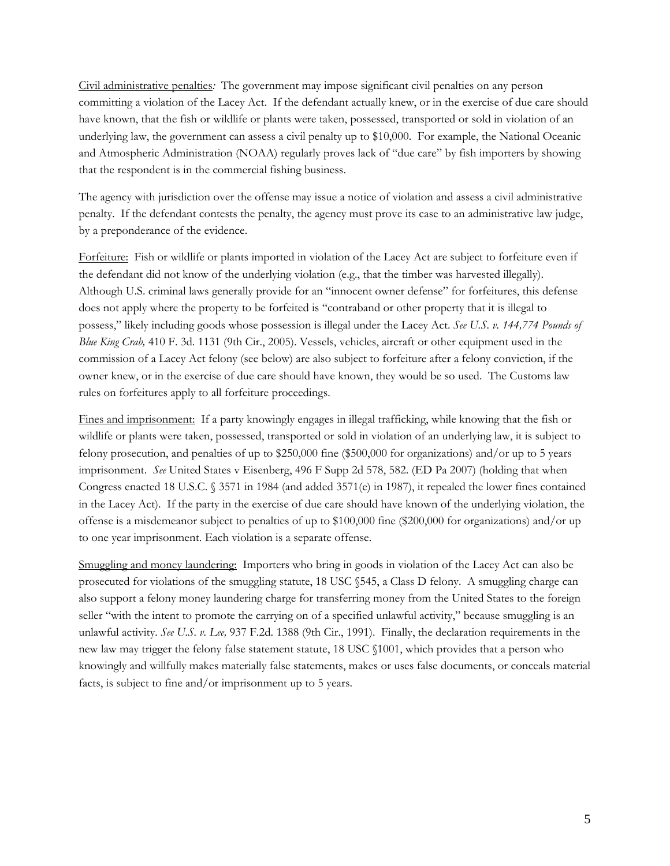Civil administrative penalties*:* The government may impose significant civil penalties on any person committing a violation of the Lacey Act. If the defendant actually knew, or in the exercise of due care should have known, that the fish or wildlife or plants were taken, possessed, transported or sold in violation of an underlying law, the government can assess a civil penalty up to \$10,000. For example, the National Oceanic and Atmospheric Administration (NOAA) regularly proves lack of "due care" by fish importers by showing that the respondent is in the commercial fishing business.

The agency with jurisdiction over the offense may issue a notice of violation and assess a civil administrative penalty. If the defendant contests the penalty, the agency must prove its case to an administrative law judge, by a preponderance of the evidence.

Forfeiture: Fish or wildlife or plants imported in violation of the Lacey Act are subject to forfeiture even if the defendant did not know of the underlying violation (e.g., that the timber was harvested illegally). Although U.S. criminal laws generally provide for an "innocent owner defense" for forfeitures, this defense does not apply where the property to be forfeited is "contraband or other property that it is illegal to possess," likely including goods whose possession is illegal under the Lacey Act. *See U.S. v. 144,774 Pounds of Blue King Crab,* 410 F. 3d. 1131 (9th Cir., 2005). Vessels, vehicles, aircraft or other equipment used in the commission of a Lacey Act felony (see below) are also subject to forfeiture after a felony conviction, if the owner knew, or in the exercise of due care should have known, they would be so used. The Customs law rules on forfeitures apply to all forfeiture proceedings.

Fines and imprisonment: If a party knowingly engages in illegal trafficking, while knowing that the fish or wildlife or plants were taken, possessed, transported or sold in violation of an underlying law, it is subject to felony prosecution, and penalties of up to \$250,000 fine (\$500,000 for organizations) and/or up to 5 years imprisonment. *See* United States v Eisenberg, 496 F Supp 2d 578, 582. (ED Pa 2007) (holding that when Congress enacted 18 U.S.C. § 3571 in 1984 (and added 3571(e) in 1987), it repealed the lower fines contained in the Lacey Act). If the party in the exercise of due care should have known of the underlying violation, the offense is a misdemeanor subject to penalties of up to \$100,000 fine (\$200,000 for organizations) and/or up to one year imprisonment. Each violation is a separate offense.

Smuggling and money laundering: Importers who bring in goods in violation of the Lacey Act can also be prosecuted for violations of the smuggling statute, 18 USC §545, a Class D felony. A smuggling charge can also support a felony money laundering charge for transferring money from the United States to the foreign seller "with the intent to promote the carrying on of a specified unlawful activity," because smuggling is an unlawful activity. *See U.S. v. Lee,* 937 F.2d. 1388 (9th Cir., 1991). Finally, the declaration requirements in the new law may trigger the felony false statement statute, 18 USC §1001, which provides that a person who knowingly and willfully makes materially false statements, makes or uses false documents, or conceals material facts, is subject to fine and/or imprisonment up to 5 years.